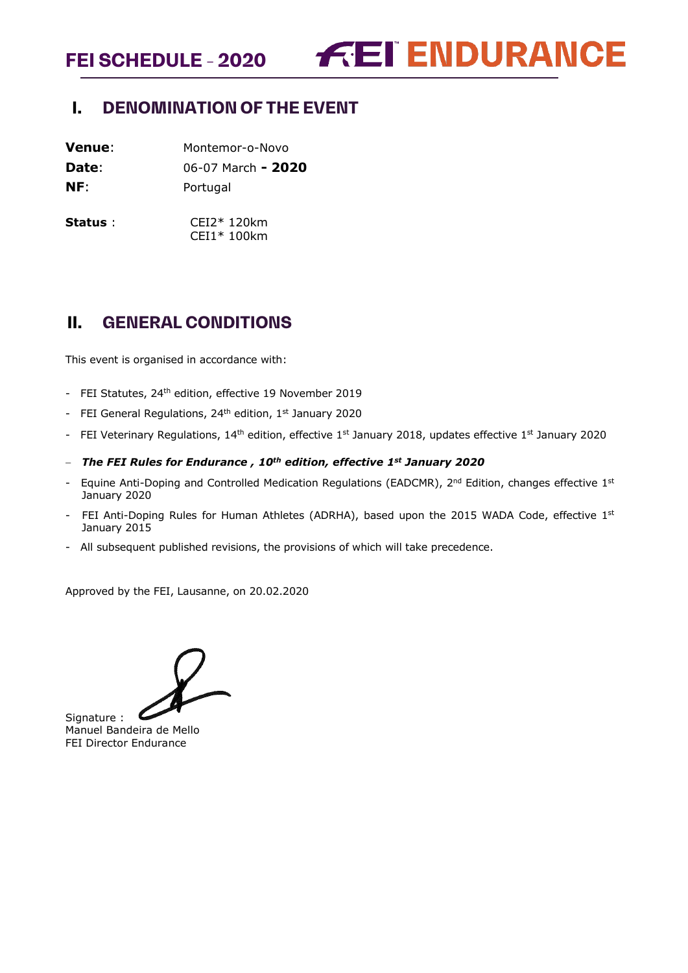**FEI SCHEDULE - 2020**

**FEI ENDURANCE** 

# <span id="page-0-0"></span>**I. DENOMINATION OF THE EVENT**

**Venue**: Montemor-o-Novo **Date**: 06-07 March **- 2020**

**NF**: Portugal

**Status** : CEI2\* 120km CEI1\* 100km

# <span id="page-0-1"></span>**II. GENERAL CONDITIONS**

This event is organised in accordance with:

- FEI Statutes, 24<sup>th</sup> edition, effective 19 November 2019
- FEI General Regulations, 24<sup>th</sup> edition, 1<sup>st</sup> January 2020
- FEI Veterinary Regulations, 14<sup>th</sup> edition, effective 1<sup>st</sup> January 2018, updates effective 1<sup>st</sup> January 2020
- − *The FEI Rules for Endurance , 10th edition, effective 1st January 2020*
- Equine Anti-Doping and Controlled Medication Regulations (EADCMR),  $2^{nd}$  Edition, changes effective  $1^{st}$ January 2020
- FEI Anti-Doping Rules for Human Athletes (ADRHA), based upon the 2015 WADA Code, effective 1st January 2015
- All subsequent published revisions, the provisions of which will take precedence.

Approved by the FEI, Lausanne, on 20.02.2020

Signature : Manuel Bandeira de Mello FEI Director Endurance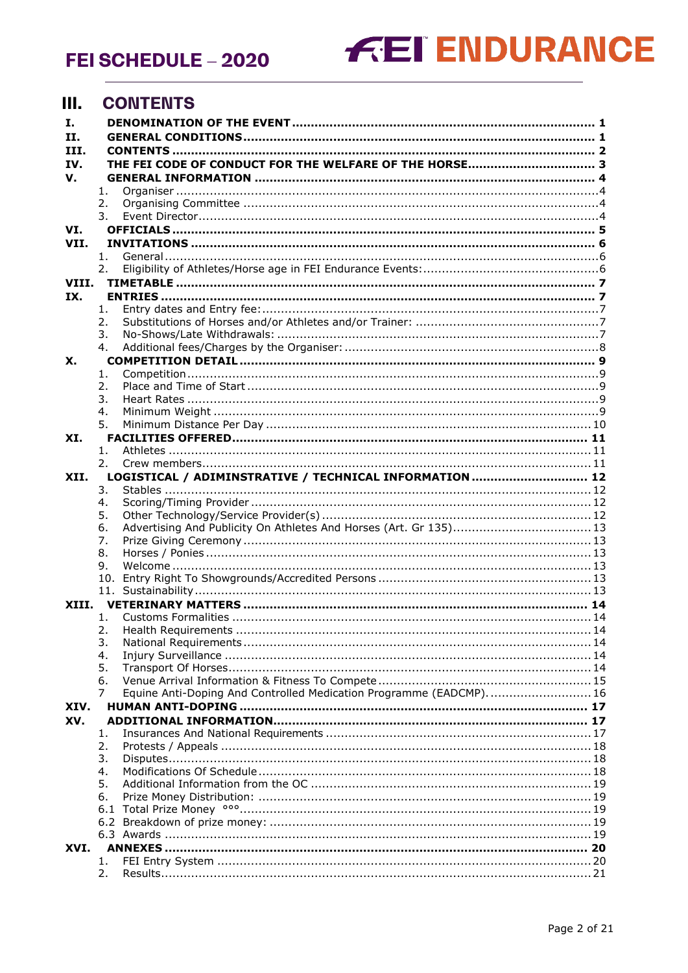FEI SCHEDULE - 2020

# **FEI ENDURANCE**

#### <span id="page-1-0"></span>**III. CONTENTS**

| Ι.    |           |                                                                    |  |
|-------|-----------|--------------------------------------------------------------------|--|
| Н.    |           |                                                                    |  |
| III.  |           |                                                                    |  |
| IV.   |           |                                                                    |  |
| v.    |           |                                                                    |  |
|       | 1.<br>2.  |                                                                    |  |
|       | 3.        |                                                                    |  |
| VI.   |           |                                                                    |  |
| VII.  |           |                                                                    |  |
|       | 1.        |                                                                    |  |
|       | 2.        |                                                                    |  |
| VIII. |           |                                                                    |  |
| IX.   |           |                                                                    |  |
|       | 1.        |                                                                    |  |
|       | 2.        |                                                                    |  |
|       | 3.        |                                                                    |  |
|       | 4.        |                                                                    |  |
| Х.    |           |                                                                    |  |
|       | 1.        |                                                                    |  |
|       | 2.        |                                                                    |  |
|       | 3.        |                                                                    |  |
|       | 4.        |                                                                    |  |
| XI.   | 5.        |                                                                    |  |
|       | 1.        |                                                                    |  |
|       | 2.        |                                                                    |  |
| XII.  |           | LOGISTICAL / ADIMINSTRATIVE / TECHNICAL INFORMATION  12            |  |
|       | 3.        |                                                                    |  |
|       | 4.        |                                                                    |  |
|       | 5.        |                                                                    |  |
|       | 6.        | Advertising And Publicity On Athletes And Horses (Art. Gr 135) 13  |  |
|       | 7.        |                                                                    |  |
|       | 8.        |                                                                    |  |
|       | 9.        |                                                                    |  |
|       |           |                                                                    |  |
|       |           |                                                                    |  |
| XIII. | 1.        |                                                                    |  |
|       | 2.        |                                                                    |  |
|       | 3.        |                                                                    |  |
|       | 4.        |                                                                    |  |
|       | 5.        |                                                                    |  |
|       | 6.        |                                                                    |  |
|       | 7         | Equine Anti-Doping And Controlled Medication Programme (EADCMP) 16 |  |
| XIV.  |           |                                                                    |  |
| XV.   |           |                                                                    |  |
|       | 1.        |                                                                    |  |
|       | 2.        |                                                                    |  |
|       | 3.        |                                                                    |  |
|       | 4.        |                                                                    |  |
|       | 5.        |                                                                    |  |
|       | 6.<br>6.1 |                                                                    |  |
|       |           |                                                                    |  |
|       |           |                                                                    |  |
| XVI.  |           |                                                                    |  |
|       | 1.        |                                                                    |  |
|       | 2.        |                                                                    |  |
|       |           |                                                                    |  |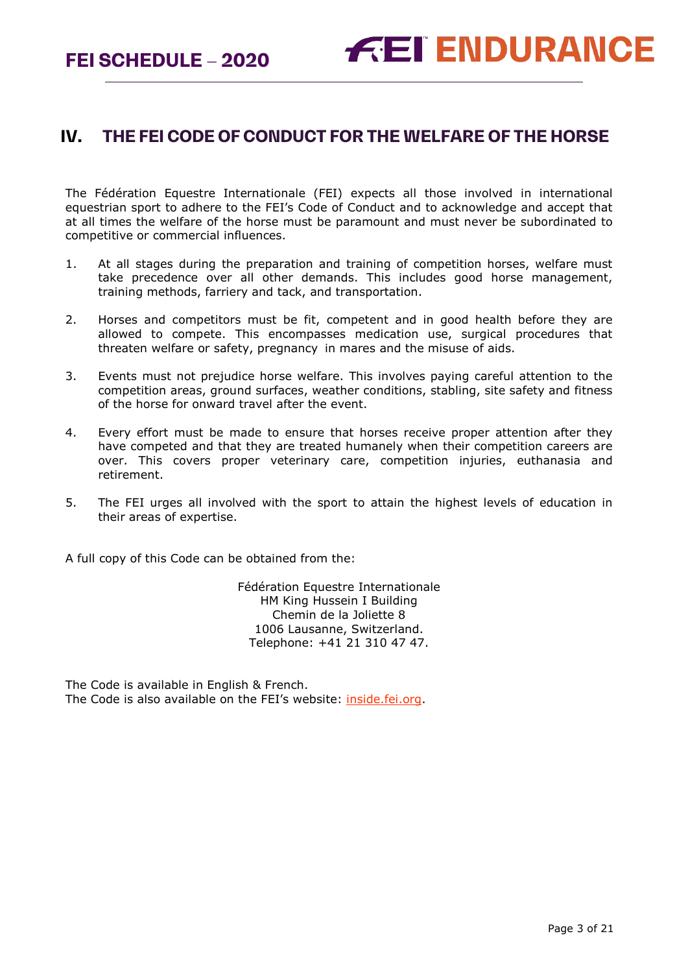**FEI SCHEDULE – 2020**

# <span id="page-2-0"></span>**IV. THE FEI CODE OF CONDUCT FOR THE WELFARE OF THE HORSE**

The Fédération Equestre Internationale (FEI) expects all those involved in international equestrian sport to adhere to the FEI's Code of Conduct and to acknowledge and accept that at all times the welfare of the horse must be paramount and must never be subordinated to competitive or commercial influences.

- 1. At all stages during the preparation and training of competition horses, welfare must take precedence over all other demands. This includes good horse management, training methods, farriery and tack, and transportation.
- 2. Horses and competitors must be fit, competent and in good health before they are allowed to compete. This encompasses medication use, surgical procedures that threaten welfare or safety, pregnancy in mares and the misuse of aids.
- 3. Events must not prejudice horse welfare. This involves paying careful attention to the competition areas, ground surfaces, weather conditions, stabling, site safety and fitness of the horse for onward travel after the event.
- 4. Every effort must be made to ensure that horses receive proper attention after they have competed and that they are treated humanely when their competition careers are over. This covers proper veterinary care, competition injuries, euthanasia and retirement.
- 5. The FEI urges all involved with the sport to attain the highest levels of education in their areas of expertise.

A full copy of this Code can be obtained from the:

Fédération Equestre Internationale HM King Hussein I Building Chemin de la Joliette 8 1006 Lausanne, Switzerland. Telephone: +41 21 310 47 47.

The Code is available in English & French. The Code is also available on the FEI's website: [inside.fei.org.](http://www.fei.org/)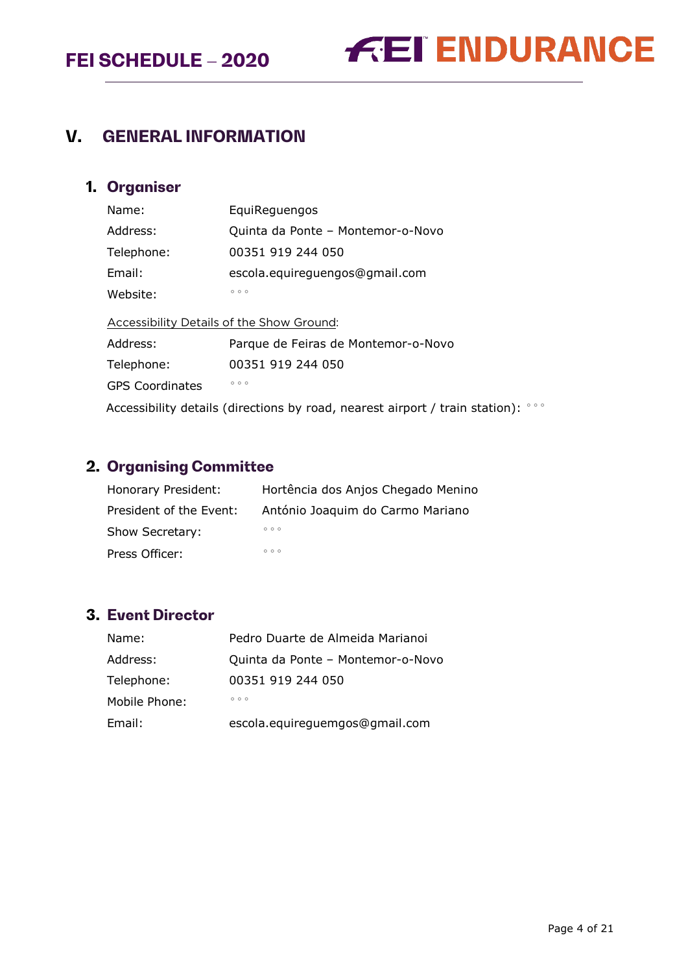



# <span id="page-3-0"></span>**V. GENERAL INFORMATION**

# <span id="page-3-1"></span>**1. Organiser**

| Name:      | EquiReguengos                     |
|------------|-----------------------------------|
| Address:   | Quinta da Ponte - Montemor-o-Novo |
| Telephone: | 00351 919 244 050                 |
| Email:     | escola.equireguengos@gmail.com    |
| Website:   | 000                               |
|            |                                   |

Accessibility Details of the Show Ground: Address: Parque de Feiras de Montemor-o-Novo Telephone: 00351 919 244 050 GPS Coordinates **PRIOT** Accessibility details (directions by road, nearest airport / train station):  $\degree \degree \degree$ 

# <span id="page-3-2"></span>**2. Organising Committee**

| Honorary President:     | Hortência dos Anjos Chegado Menino |
|-------------------------|------------------------------------|
| President of the Event: | António Joaquim do Carmo Mariano   |
| Show Secretary:         | 000                                |
| Press Officer:          | 000                                |

# <span id="page-3-3"></span>**3. Event Director**

| Name:         | Pedro Duarte de Almeida Marianoi  |
|---------------|-----------------------------------|
| Address:      | Quinta da Ponte - Montemor-o-Novo |
| Telephone:    | 00351 919 244 050                 |
| Mobile Phone: | 000                               |
| Email:        | escola.equireguemgos@gmail.com    |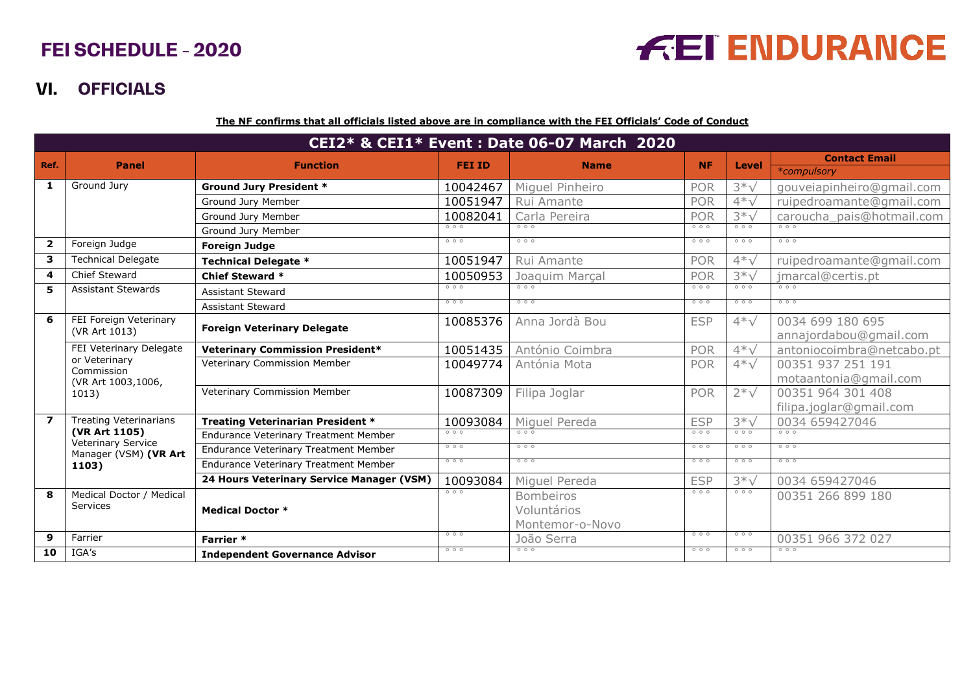# **FEI SCHEDULE - 2020**

# **FEI ENDURANCE**

# **VI. OFFICIALS**

**The NF confirms that all officials listed above are in compliance with the FEI Officials' Code of Conduct**

<span id="page-4-0"></span>

| CEI2* & CEI1* Event : Date 06-07 March 2020 |                                                             |                                              |               |                      |            |                  |                           |
|---------------------------------------------|-------------------------------------------------------------|----------------------------------------------|---------------|----------------------|------------|------------------|---------------------------|
| Ref.                                        | <b>Panel</b>                                                | <b>Function</b>                              | <b>FEI ID</b> | <b>Name</b>          | <b>NF</b>  | Level            | <b>Contact Email</b>      |
|                                             |                                                             |                                              |               |                      |            |                  | *compulsory               |
| 1                                           | Ground Jury                                                 | <b>Ground Jury President *</b>               | 10042467      | Miquel Pinheiro      | <b>POR</b> | $3*\sqrt$        | gouveiapinheiro@gmail.com |
|                                             |                                                             | Ground Jury Member                           | 10051947      | Rui Amante           | POR        | $4*V$            | ruipedroamante@gmail.com  |
|                                             |                                                             | Ground Jury Member                           | 10082041      | Carla Pereira        | <b>POR</b> | $3*\sqrt$        | caroucha_pais@hotmail.com |
|                                             |                                                             | Ground Jury Member                           | 000           | 000                  | 000        | 000              | 000                       |
| $\overline{2}$                              | Foreign Judge                                               | <b>Foreign Judge</b>                         | 000           | 000                  | 000        | 000              | 000                       |
| 3                                           | <b>Technical Delegate</b>                                   | <b>Technical Delegate *</b>                  | 10051947      | Rui Amante           | <b>POR</b> | $4*\sqrt$        | ruipedroamante@gmail.com  |
| 4                                           | Chief Steward                                               | <b>Chief Steward *</b>                       | 10050953      | Joaquim Marçal       | <b>POR</b> | $3*\sqrt$        | jmarcal@certis.pt         |
| 5                                           | <b>Assistant Stewards</b>                                   | <b>Assistant Steward</b>                     | 000           | 000                  | 000        | 000              | 000                       |
|                                             |                                                             | <b>Assistant Steward</b>                     | 000           | 000                  | 000        | 000              | 000                       |
| 6                                           | FEI Foreign Veterinary                                      | <b>Foreign Veterinary Delegate</b>           | 10085376      | Anna Jordà Bou       | <b>ESP</b> | $4*\sqrt$        | 0034 699 180 695          |
|                                             | (VR Art 1013)                                               |                                              |               |                      |            |                  | annajordabou@gmail.com    |
|                                             | FEI Veterinary Delegate                                     | <b>Veterinary Commission President*</b>      | 10051435      | António Coimbra      | <b>POR</b> | $4*\sqrt$        | antoniocoimbra@netcabo.pt |
|                                             | or Veterinary<br>Commission<br>(VR Art 1003,1006,<br>1013)  | <b>Veterinary Commission Member</b>          | 10049774      | Antónia Mota         | <b>POR</b> | $4*\sqrt$        | 00351 937 251 191         |
|                                             |                                                             |                                              |               |                      |            |                  | motaantonia@gmail.com     |
|                                             |                                                             | <b>Veterinary Commission Member</b>          | 10087309      | Filipa Joglar        | <b>POR</b> | $2*\sqrt$        | 00351 964 301 408         |
|                                             |                                                             |                                              |               |                      |            |                  | filipa.joglar@gmail.com   |
| $\overline{\mathbf{z}}$                     | <b>Treating Veterinarians</b><br>(VR Art 1105)              | Treating Veterinarian President *            | 10093084      | Miguel Pereda<br>000 | <b>ESP</b> | $3*\sqrt$<br>000 | 0034 659427046            |
|                                             | <b>Veterinary Service</b><br>Manager (VSM) (VR Art<br>1103) | <b>Endurance Veterinary Treatment Member</b> | 000           |                      | 000        |                  | 000                       |
|                                             |                                                             | <b>Endurance Veterinary Treatment Member</b> | 000           | 000                  | 000        | 000              | 000                       |
|                                             |                                                             | Endurance Veterinary Treatment Member        | 000           | 000                  | 000        | 000              | 000                       |
|                                             |                                                             | 24 Hours Veterinary Service Manager (VSM)    | 10093084      | Miguel Pereda        | <b>ESP</b> | $3*\sqrt$        | 0034 659427046            |
| 8                                           | Medical Doctor / Medical                                    |                                              | 000           | <b>Bombeiros</b>     | 000        | 000              | 00351 266 899 180         |
|                                             | Services                                                    | <b>Medical Doctor *</b>                      |               | Voluntários          |            |                  |                           |
|                                             |                                                             |                                              |               | Montemor-o-Novo      |            |                  |                           |
| 9                                           | Farrier                                                     | Farrier *                                    | 000           | João Serra           | 000        | 000              | 00351 966 372 027         |
| 10                                          | IGA's                                                       | <b>Independent Governance Advisor</b>        | 000           | 000                  | 000        | 000              | 000                       |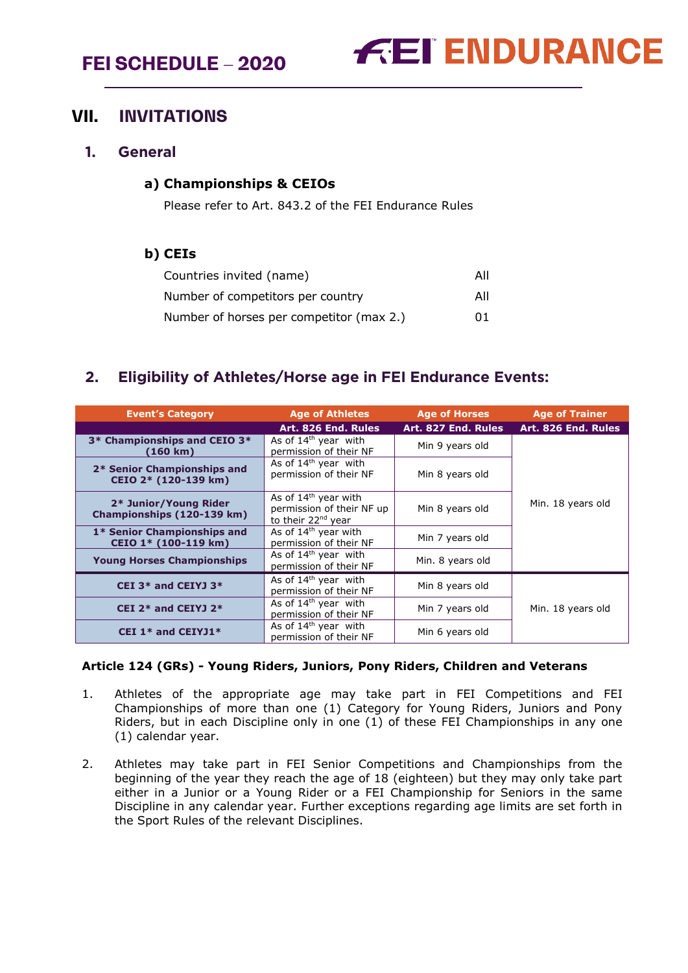# **FEI SCHEDULE – 2020**



# <span id="page-5-0"></span>**VII. INVITATIONS**

## <span id="page-5-1"></span>**1. General**

## **a) Championships & CEIOs**

Please refer to Art. 843.2 of the FEI Endurance Rules

## **b) CEIs**

| Countries invited (name)                 | All |
|------------------------------------------|-----|
| Number of competitors per country        | All |
| Number of horses per competitor (max 2.) | 01  |

# <span id="page-5-2"></span>**2. Eligibility of Athletes/Horse age in FEI Endurance Events:**

| <b>Event's Category</b>                             | <b>Age of Athletes</b>                                                                | <b>Age of Horses</b> | <b>Age of Trainer</b> |
|-----------------------------------------------------|---------------------------------------------------------------------------------------|----------------------|-----------------------|
|                                                     | Art. 826 End. Rules                                                                   | Art. 827 End. Rules  | Art. 826 End. Rules   |
| 3* Championships and CEIO 3*<br>(160 km)            | As of $14th$ year with<br>permission of their NF                                      | Min 9 years old      |                       |
| 2* Senior Championships and<br>CEIO 2* (120-139 km) | As of $14th$ year with<br>permission of their NF                                      | Min 8 years old      |                       |
| 2* Junior/Young Rider<br>Championships (120-139 km) | As of $14th$ year with<br>permission of their NF up<br>to their 22 <sup>nd</sup> year | Min 8 years old      | Min. 18 years old     |
| 1* Senior Championships and<br>CEIO 1* (100-119 km) | As of 14 <sup>th</sup> year with<br>permission of their NF                            | Min 7 years old      |                       |
| <b>Young Horses Championships</b>                   | As of 14 <sup>th</sup> year with<br>permission of their NF                            | Min. 8 years old     |                       |
| CEI 3* and CEIYJ 3*                                 | As of $14th$ year with<br>permission of their NF                                      | Min 8 years old      |                       |
| CEI $2*$ and CEIYJ $2*$                             | As of $14th$ year with<br>permission of their NF                                      | Min 7 years old      | Min. 18 years old     |
| CEI $1*$ and CEIYJ1 $*$                             | As of 14 <sup>th</sup> year with<br>permission of their NF                            | Min 6 years old      |                       |

## **Article 124 (GRs) - Young Riders, Juniors, Pony Riders, Children and Veterans**

- 1. Athletes of the appropriate age may take part in FEI Competitions and FEI Championships of more than one (1) Category for Young Riders, Juniors and Pony Riders, but in each Discipline only in one (1) of these FEI Championships in any one (1) calendar year.
- 2. Athletes may take part in FEI Senior Competitions and Championships from the beginning of the year they reach the age of 18 (eighteen) but they may only take part either in a Junior or a Young Rider or a FEI Championship for Seniors in the same Discipline in any calendar year. Further exceptions regarding age limits are set forth in the Sport Rules of the relevant Disciplines.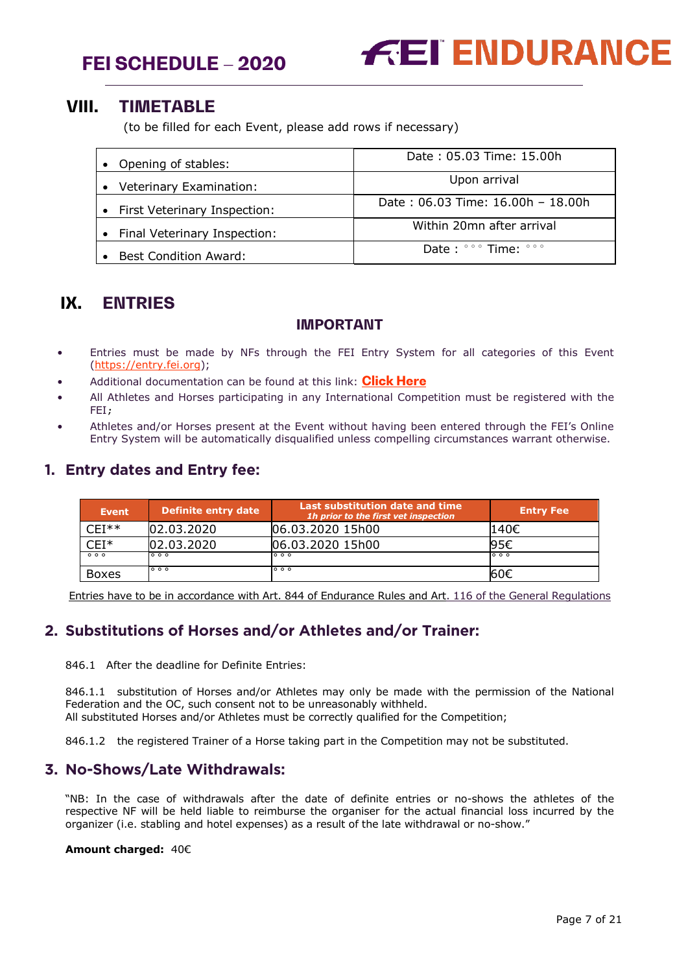



# <span id="page-6-0"></span>**VIII. TIMETABLE**

(to be filled for each Event, please add rows if necessary)

| • Opening of stables:          | Date: 05.03 Time: 15.00h                                |
|--------------------------------|---------------------------------------------------------|
| • Veterinary Examination:      | Upon arrival                                            |
| • First Veterinary Inspection: | Date: 06.03 Time: 16.00h - 18.00h                       |
| • Final Veterinary Inspection: | Within 20mn after arrival                               |
| <b>Best Condition Award:</b>   | Date: $\degree \degree$ Time: $\degree \degree \degree$ |

# <span id="page-6-1"></span>**IX. ENTRIES**

## **IMPORTANT**

- Entries must be made by NFs through the FEI Entry System for all categories of this Event [\(https://entry.fei.org\)](https://entry.fei.org/);
- Additional documentation can be found at this link: **[Click Here](https://inside.fei.org/fei/your-role/it-services/fei-entry-system/fei-entry-system-endurance)**
- All Athletes and Horses participating in any International Competition must be registered with the FEI;
- Athletes and/or Horses present at the Event without having been entered through the FEI's Online Entry System will be automatically disqualified unless compelling circumstances warrant otherwise.

# <span id="page-6-2"></span>**1. Entry dates and Entry fee:**

| <b>Event</b> | <b>Definite entry date</b> | Last substitution date and time<br>1h prior to the first vet inspection | <b>Entry Fee</b> |
|--------------|----------------------------|-------------------------------------------------------------------------|------------------|
| ∩F⊺**        | 02.03.2020                 | 06.03.2020 15h00                                                        | 140€             |
| CEI*         | 02.03.2020                 | 06.03.2020 15h00                                                        | 95€              |
| 000          | 000                        | 000                                                                     | 000              |
| <b>Boxes</b> | 000                        | 000                                                                     | 160€             |

Entries have to be in accordance with Art. 844 of Endurance Rules and Art. 116 of the General Regulations

# <span id="page-6-3"></span>**2. Substitutions of Horses and/or Athletes and/or Trainer:**

846.1 After the deadline for Definite Entries:

846.1.1 substitution of Horses and/or Athletes may only be made with the permission of the National Federation and the OC, such consent not to be unreasonably withheld. All substituted Horses and/or Athletes must be correctly qualified for the Competition;

846.1.2 the registered Trainer of a Horse taking part in the Competition may not be substituted.

# <span id="page-6-4"></span>**3. No-Shows/Late Withdrawals:**

"NB: In the case of withdrawals after the date of definite entries or no-shows the athletes of the respective NF will be held liable to reimburse the organiser for the actual financial loss incurred by the organizer (i.e. stabling and hotel expenses) as a result of the late withdrawal or no-show."

#### **Amount charged:** 40€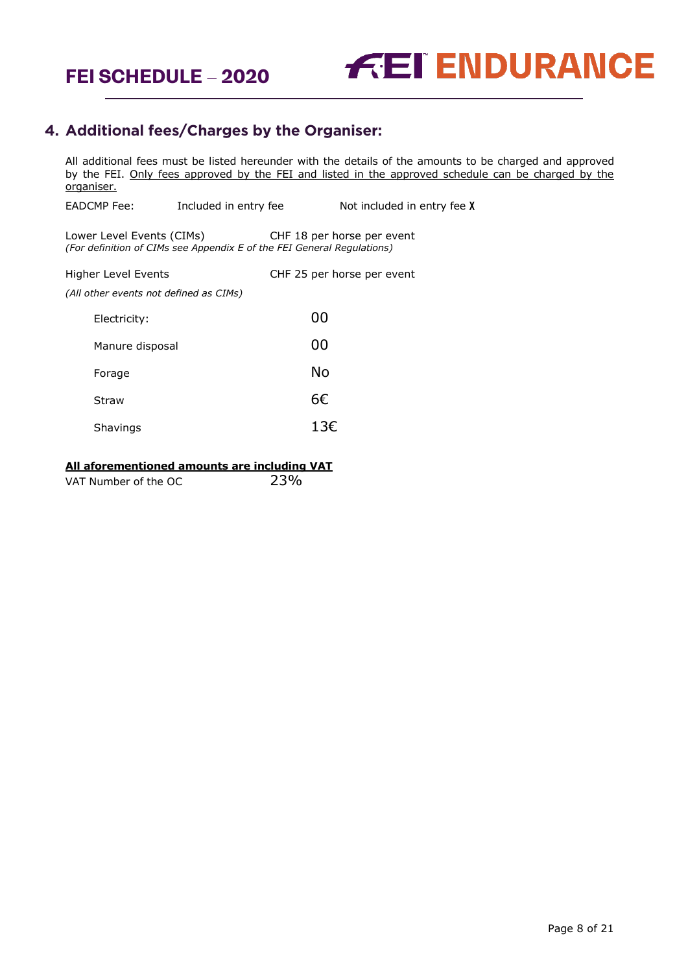



# <span id="page-7-0"></span>**4. Additional fees/Charges by the Organiser:**

All additional fees must be listed hereunder with the details of the amounts to be charged and approved by the FEI. Only fees approved by the FEI and listed in the approved schedule can be charged by the organiser. EADCMP Fee: Included in entry fee Not included in entry fee X

Lower Level Events (CIMs) CHF 18 per horse per event *(For definition of CIMs see Appendix E of the FEI General Regulations)*

| Higher Level Events                    | CHF 25 per horse per event |
|----------------------------------------|----------------------------|
| (All other events not defined as CIMs) |                            |
| Electricity:                           | 00                         |
| Manure disposal                        | 00                         |
| Forage                                 | No                         |
| Straw                                  | 6€                         |
| Shavings                               | 13€                        |

### **All aforementioned amounts are including VAT**

| 23%<br>VAT Number of the OC |  |
|-----------------------------|--|
|                             |  |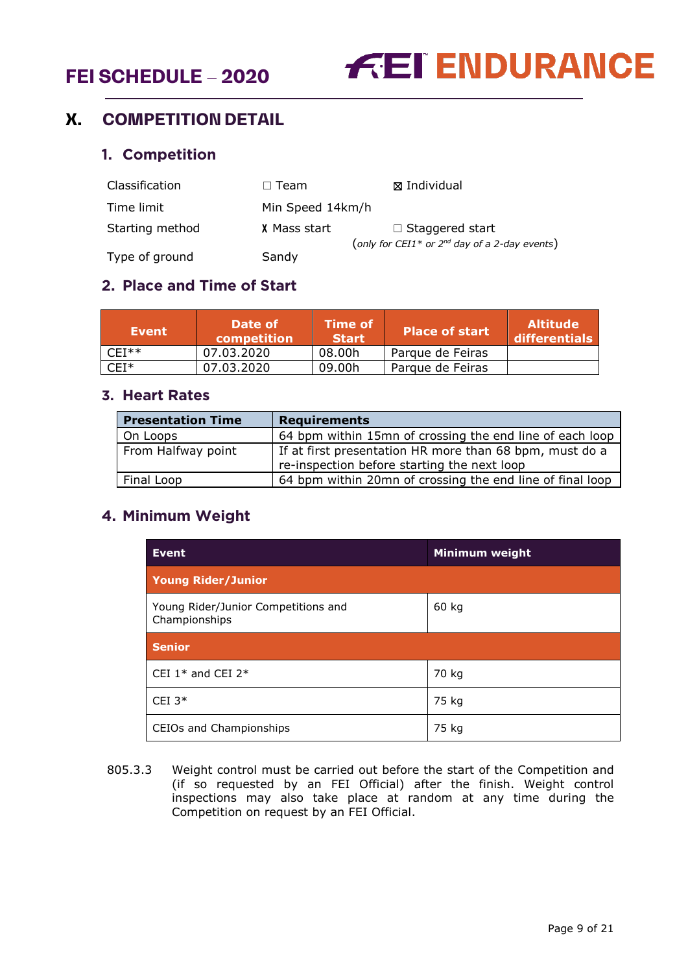# **FEI SCHEDULE – 2020**



# <span id="page-8-1"></span><span id="page-8-0"></span>**X. COMPETITION DETAIL**

# **1. Competition**

| Classification  | $\Box$ Team      | ⊠ Individual                                                   |
|-----------------|------------------|----------------------------------------------------------------|
| Time limit      | Min Speed 14km/h |                                                                |
| Starting method | X Mass start     | $\Box$ Staggered start                                         |
| Type of ground  | Sandy            | (only for CEI1 <sup>*</sup> or $2^{nd}$ day of a 2-day events) |

# <span id="page-8-2"></span>**2. Place and Time of Start**

| Event   | Date of<br>competition | <b>Time of</b><br><b>Start</b> | <b>Place of start</b> | <b>Altitude</b><br>differentials |
|---------|------------------------|--------------------------------|-----------------------|----------------------------------|
| $CFI**$ | 07.03.2020             | 08.00h                         | Parque de Feiras      |                                  |
| $CEI^*$ | 07.03.2020             | 09.00h                         | Parque de Feiras      |                                  |

# <span id="page-8-3"></span>**3. Heart Rates**

| <b>Presentation Time</b> | <b>Requirements</b>                                                                                    |
|--------------------------|--------------------------------------------------------------------------------------------------------|
| On Loops                 | 64 bpm within 15mn of crossing the end line of each loop                                               |
| From Halfway point       | If at first presentation HR more than 68 bpm, must do a<br>re-inspection before starting the next loop |
| Final Loop               | 64 bpm within 20mn of crossing the end line of final loop                                              |

# <span id="page-8-4"></span>**4. Minimum Weight**

| <b>Event</b>                                         | <b>Minimum weight</b> |
|------------------------------------------------------|-----------------------|
| <b>Young Rider/Junior</b>                            |                       |
| Young Rider/Junior Competitions and<br>Championships | 60 kg                 |
| <b>Senior</b>                                        |                       |
| CEI $1*$ and CEI $2*$                                | 70 kg                 |
| CEI $3*$                                             | 75 kg                 |
| CEIOs and Championships                              | 75 kg                 |

805.3.3 Weight control must be carried out before the start of the Competition and (if so requested by an FEI Official) after the finish. Weight control inspections may also take place at random at any time during the Competition on request by an FEI Official.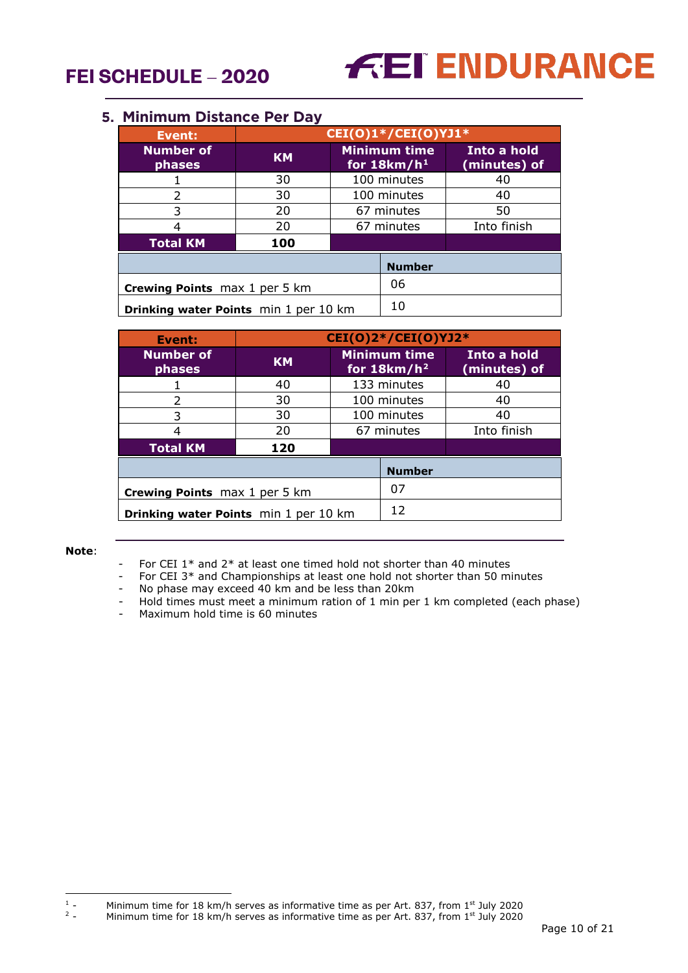

## <span id="page-9-0"></span>**5. Minimum Distance Per Day**

| Event:                                | CEI(O)1*/CEI(O)YJ1* |            |                                      |                             |  |  |
|---------------------------------------|---------------------|------------|--------------------------------------|-----------------------------|--|--|
| <b>Number of</b><br>phases            | <b>KM</b>           |            | <b>Minimum time</b><br>for $18km/h1$ | Into a hold<br>(minutes) of |  |  |
|                                       | 30                  |            | 100 minutes                          | 40                          |  |  |
| 2                                     | 30                  |            | 100 minutes                          | 40                          |  |  |
| 3                                     | 20                  |            | 67 minutes                           | 50                          |  |  |
| 4                                     | 20                  | 67 minutes |                                      | Into finish                 |  |  |
| <b>Total KM</b>                       | 100                 |            |                                      |                             |  |  |
| <b>Number</b>                         |                     |            |                                      |                             |  |  |
| <b>Crewing Points</b> max 1 per 5 km  |                     |            | 06                                   |                             |  |  |
| Drinking water Points min 1 per 10 km |                     |            | 10                                   |                             |  |  |

| Event:                                | CEI(0)2*/CEI(0)YJ2* |                                       |                             |             |  |
|---------------------------------------|---------------------|---------------------------------------|-----------------------------|-------------|--|
| <b>Number of</b><br>phases            | <b>KM</b>           | <b>Minimum time</b><br>for $18km/h^2$ | Into a hold<br>(minutes) of |             |  |
|                                       | 40                  |                                       | 133 minutes                 | 40          |  |
| $\mathcal{L}$                         | 30                  |                                       | 100 minutes                 | 40          |  |
| 3                                     | 30                  |                                       | 100 minutes                 | 40          |  |
| 4                                     | 20                  | 67 minutes                            |                             | Into finish |  |
| <b>Total KM</b>                       | 120                 |                                       |                             |             |  |
| <b>Number</b>                         |                     |                                       |                             |             |  |
| <b>Crewing Points</b> max 1 per 5 km  |                     |                                       | 07                          |             |  |
| Drinking water Points min 1 per 10 km |                     |                                       | 12                          |             |  |

#### **Note**:

- For CEI  $1*$  and  $2*$  at least one timed hold not shorter than 40 minutes
- For CEI 3\* and Championships at least one hold not shorter than 50 minutes
- No phase may exceed 40 km and be less than 20km
- Hold times must meet a minimum ration of 1 min per 1 km completed (each phase)
- Maximum hold time is 60 minutes

<span id="page-9-2"></span><span id="page-9-1"></span> $1\,$   $\,$   $\,$ <sup>1</sup> - Minimum time for 18 km/h serves as informative time as per Art. 837, from 1<sup>st</sup> July 2020<br><sup>2</sup> - Minimum time for 18 km/h serves as informative time as per Art. 837, from 1<sup>st</sup> July 2020

Minimum time for 18 km/h serves as informative time as per Art. 837, from 1<sup>st</sup> July 2020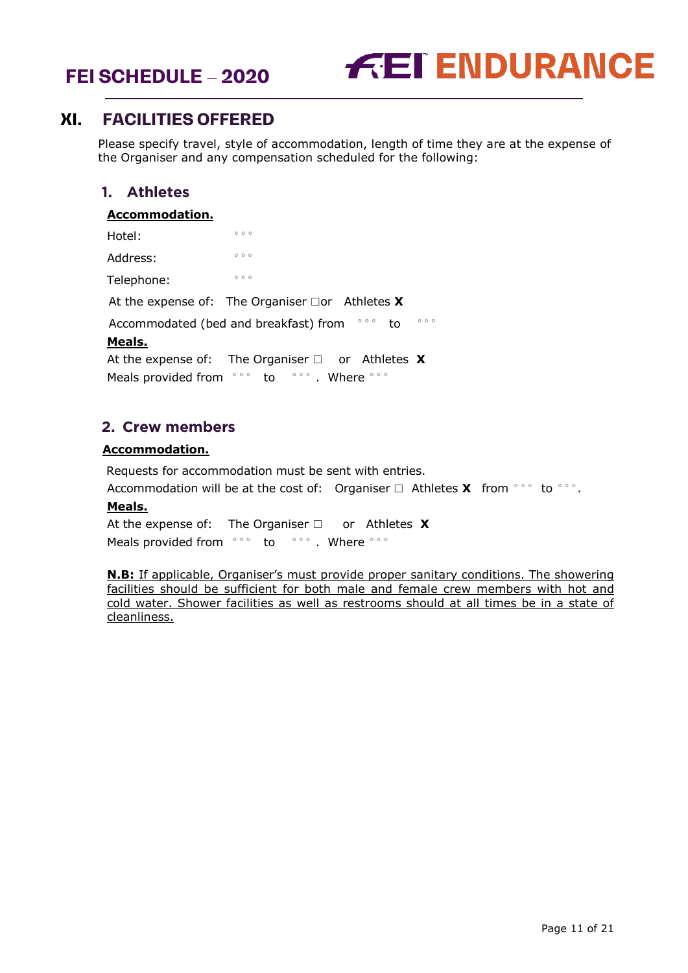



# <span id="page-10-0"></span>**XI. FACILITIES OFFERED**

Please specify travel, style of accommodation, length of time they are at the expense of the Organiser and any compensation scheduled for the following:

# <span id="page-10-1"></span>**1. Athletes**

#### **Accommodation.**

| Hotel:                  | 000                                                          |
|-------------------------|--------------------------------------------------------------|
| Address:                | 000                                                          |
| Telephone:              | 000                                                          |
|                         | At the expense of: The Organiser $\Box$ or Athletes <b>X</b> |
|                         | 000<br>000<br>Accommodated (bed and breakfast) from<br>to    |
| Meals.                  |                                                              |
|                         | At the expense of: The Organiser $\Box$ or Athletes <b>X</b> |
| Meals provided from sos | $\circ \circ \circ$ . Where $\circ \circ \circ$<br>to        |

# <span id="page-10-2"></span>**2. Crew members**

### **Accommodation.**

Requests for accommodation must be sent with entries.

Accommodation will be at the cost of: Organiser □ Athletes **X** from °°° to °°°.

### **Meals.**

At the expense of: The Organiser ☐ or Athletes **X** Meals provided from °°° to °°°. Where °°°

**N.B:** If applicable, Organiser's must provide proper sanitary conditions. The showering facilities should be sufficient for both male and female crew members with hot and cold water. Shower facilities as well as restrooms should at all times be in a state of cleanliness.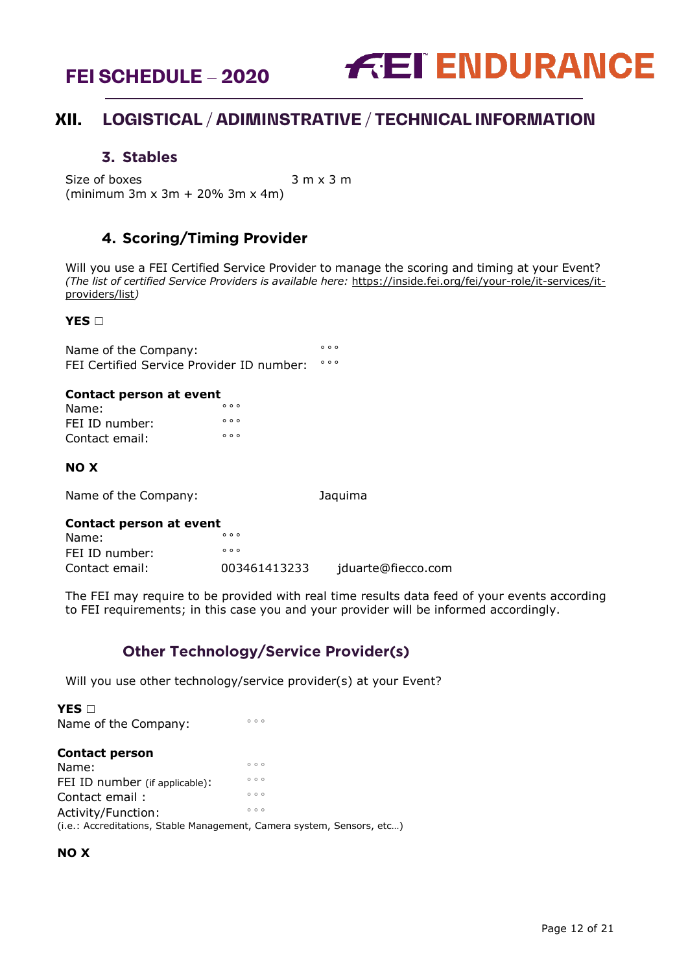



# <span id="page-11-0"></span>**XII. LOGISTICAL / ADIMINSTRATIVE / TECHNICAL INFORMATION**

## **3. Stables**

<span id="page-11-1"></span>Size of boxes  $3 \text{ m } x 3 \text{ m}$ (minimum 3m x 3m + 20% 3m x 4m)

# **4. Scoring/Timing Provider**

<span id="page-11-2"></span>Will you use a FEI Certified Service Provider to manage the scoring and timing at your Event? *(The list of certified Service Providers is available here:* [https://inside.fei.org/fei/your-role/it-services/it](https://inside.fei.org/fei/your-role/it-services/it-providers/list)[providers/list](https://inside.fei.org/fei/your-role/it-services/it-providers/list)*)*

#### **YES** □

Name of the Company:<br>EET Cortified Service Provider ID pumber. FEI Certified Service Provider ID number:

#### **Contact person at event**

| Name:          | 000 |  |
|----------------|-----|--|
| FEI ID number: | 000 |  |
| Contact email: | 000 |  |

### **NO X**

Name of the Company: Jaquima

## **Contact person at event**

| Name:          | 000          |                    |
|----------------|--------------|--------------------|
| FEI ID number: | 000          |                    |
| Contact email: | 003461413233 | jduarte@fiecco.com |

The FEI may require to be provided with real time results data feed of your events according to FEI requirements; in this case you and your provider will be informed accordingly.

# **Other Technology/Service Provider(s)**

<span id="page-11-3"></span>Will you use other technology/service provider(s) at your Event?

**YES** □ Name of the Company: **Contact person** Name:  $\frac{1}{\sqrt{2}}$ FEI ID number (if applicable): Contact email :<br>Activity/Eurotion Activity/Function: (i.e.: Accreditations, Stable Management, Camera system, Sensors, etc…)

### **NO X**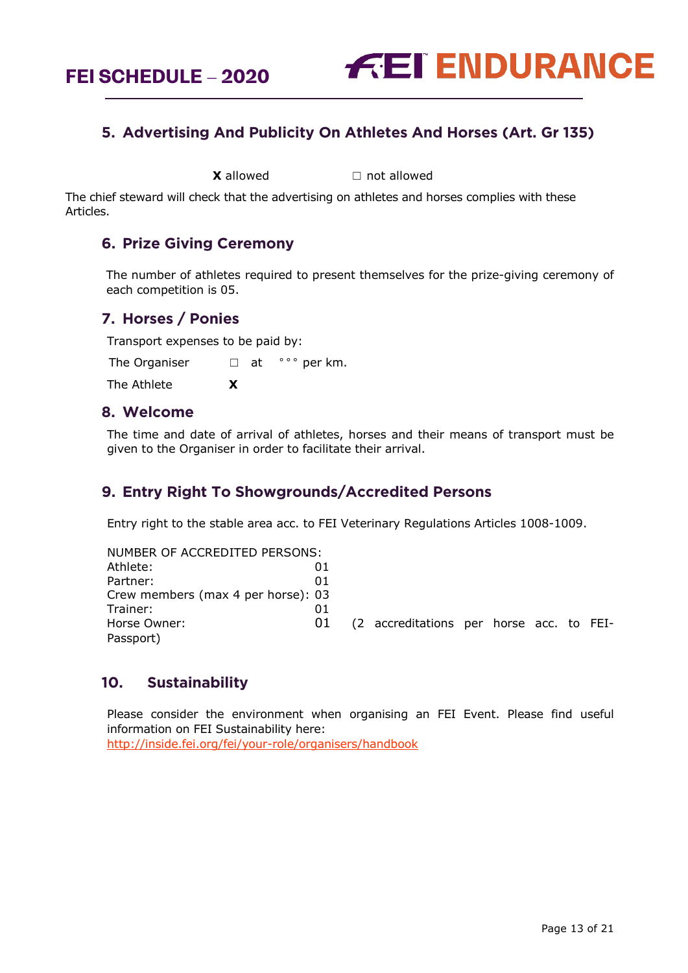

# <span id="page-12-0"></span>**5. Advertising And Publicity On Athletes And Horses (Art. Gr 135)**

**X** allowed ☐ not allowed

The chief steward will check that the advertising on athletes and horses complies with these Articles.

# <span id="page-12-1"></span>**6. Prize Giving Ceremony**

The number of athletes required to present themselves for the prize-giving ceremony of each competition is 05.

# <span id="page-12-2"></span>**7. Horses / Ponies**

Transport expenses to be paid by:

The Organiser  $□$  at  $\degree$  $\degree$  per km.

The Athlete **X**

## <span id="page-12-3"></span>**8. Welcome**

The time and date of arrival of athletes, horses and their means of transport must be given to the Organiser in order to facilitate their arrival.

# <span id="page-12-4"></span>**9. Entry Right To Showgrounds/Accredited Persons**

Entry right to the stable area acc. to FEI Veterinary Regulations Articles 1008-1009.

| NUMBER OF ACCREDITED PERSONS:      |    |                                          |  |  |  |
|------------------------------------|----|------------------------------------------|--|--|--|
| Athlete:                           | 01 |                                          |  |  |  |
| Partner:                           | 01 |                                          |  |  |  |
| Crew members (max 4 per horse): 03 |    |                                          |  |  |  |
| Trainer:                           | 01 |                                          |  |  |  |
| Horse Owner:                       | 01 | (2 accreditations per horse acc. to FEI- |  |  |  |
| Passport)                          |    |                                          |  |  |  |

# <span id="page-12-5"></span>**10. Sustainability**

Please consider the environment when organising an FEI Event. Please find useful information on FEI Sustainability here:

<http://inside.fei.org/fei/your-role/organisers/handbook>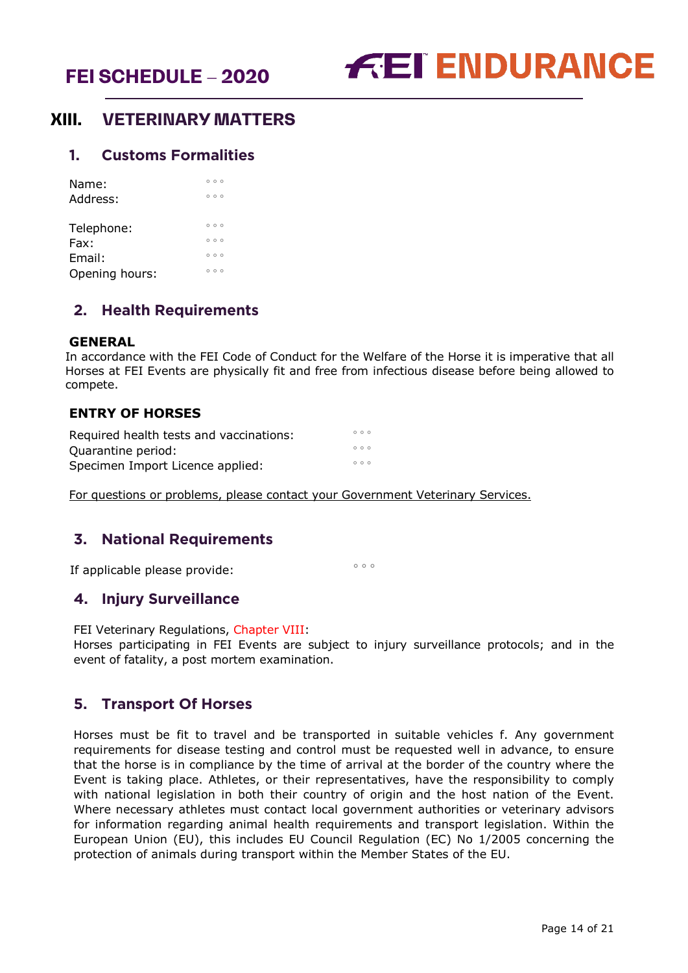

# <span id="page-13-0"></span>**XIII. VETERINARY MATTERS**

## <span id="page-13-1"></span>**1. Customs Formalities**

| Name:<br>Address: | 000<br>000 |
|-------------------|------------|
| Telephone:        | 000        |
| Fax:              | 000        |
| Email:            | 000        |
| Opening hours:    | 000        |

## <span id="page-13-2"></span>**2. Health Requirements**

### **GENERAL**

In accordance with the FEI Code of Conduct for the Welfare of the Horse it is imperative that all Horses at FEI Events are physically fit and free from infectious disease before being allowed to compete.

## **ENTRY OF HORSES**

| Required health tests and vaccinations: | 000 |
|-----------------------------------------|-----|
| Quarantine period:                      | 000 |
| Specimen Import Licence applied:        | 000 |

For questions or problems, please contact your Government Veterinary Services.

# <span id="page-13-3"></span>**3. National Requirements**

If applicable please provide:  $\frac{1}{2}$  and  $\frac{1}{2}$  and  $\frac{1}{2}$  are  $\frac{1}{2}$ 

# <span id="page-13-4"></span>**4. Injury Surveillance**

FEI Veterinary Regulations, Chapter VIII:

Horses participating in FEI Events are subject to injury surveillance protocols; and in the event of fatality, a post mortem examination.

# <span id="page-13-5"></span>**5. Transport Of Horses**

Horses must be fit to travel and be transported in suitable vehicles f. Any government requirements for disease testing and control must be requested well in advance, to ensure that the horse is in compliance by the time of arrival at the border of the country where the Event is taking place. Athletes, or their representatives, have the responsibility to comply with national legislation in both their country of origin and the host nation of the Event. Where necessary athletes must contact local government authorities or veterinary advisors for information regarding animal health requirements and transport legislation. Within the European Union (EU), this includes EU Council Regulation (EC) No 1/2005 concerning the protection of animals during transport within the Member States of the EU.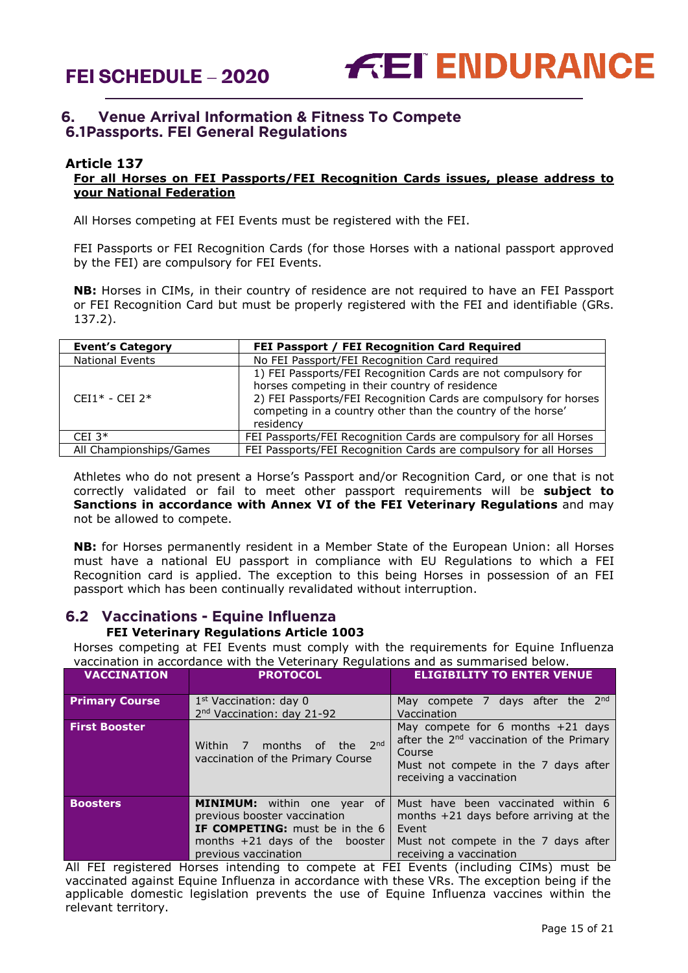

# <span id="page-14-0"></span>**6. Venue Arrival Information & Fitness To Compete 6.1Passports. FEI General Regulations**

## **Article 137**

## **For all Horses on FEI Passports/FEI Recognition Cards issues, please address to your National Federation**

All Horses competing at FEI Events must be registered with the FEI.

FEI Passports or FEI Recognition Cards (for those Horses with a national passport approved by the FEI) are compulsory for FEI Events.

**NB:** Horses in CIMs, in their country of residence are not required to have an FEI Passport or FEI Recognition Card but must be properly registered with the FEI and identifiable (GRs. 137.2).

| <b>Event's Category</b> | FEI Passport / FEI Recognition Card Required                      |
|-------------------------|-------------------------------------------------------------------|
| <b>National Events</b>  | No FEI Passport/FEI Recognition Card required                     |
|                         | 1) FEI Passports/FEI Recognition Cards are not compulsory for     |
|                         | horses competing in their country of residence                    |
| $CFI1* - CFI2*$         | 2) FEI Passports/FEI Recognition Cards are compulsory for horses  |
|                         | competing in a country other than the country of the horse'       |
|                         | residency                                                         |
| CEI $3*$                | FEI Passports/FEI Recognition Cards are compulsory for all Horses |
| All Championships/Games | FEI Passports/FEI Recognition Cards are compulsory for all Horses |

Athletes who do not present a Horse's Passport and/or Recognition Card, or one that is not correctly validated or fail to meet other passport requirements will be **subject to Sanctions in accordance with Annex VI of the FEI Veterinary Regulations** and may not be allowed to compete.

**NB:** for Horses permanently resident in a Member State of the European Union: all Horses must have a national EU passport in compliance with EU Regulations to which a FEI Recognition card is applied. The exception to this being Horses in possession of an FEI passport which has been continually revalidated without interruption.

# **6.2 Vaccinations - Equine Influenza**

# **FEI Veterinary Regulations Article 1003**

Horses competing at FEI Events must comply with the requirements for Equine Influenza vaccination in accordance with the Veterinary Regulations and as summarised below.

| <b>VACCINATION</b>    | <b>PROTOCOL</b>                                                                                                                                                         | <b>ELIGIBILITY TO ENTER VENUE</b>                                                                                                                                        |
|-----------------------|-------------------------------------------------------------------------------------------------------------------------------------------------------------------------|--------------------------------------------------------------------------------------------------------------------------------------------------------------------------|
| <b>Primary Course</b> | 1 <sup>st</sup> Vaccination: day 0<br>2 <sup>nd</sup> Vaccination: day 21-92                                                                                            | May compete 7 days after the 2 <sup>nd</sup><br>Vaccination                                                                                                              |
| <b>First Booster</b>  | months of the 2nd<br>Within 7<br>vaccination of the Primary Course                                                                                                      | May compete for 6 months $+21$ days<br>after the 2 <sup>nd</sup> vaccination of the Primary<br>Course<br>Must not compete in the 7 days after<br>receiving a vaccination |
| <b>Boosters</b>       | <b>MINIMUM:</b> within one year of<br>previous booster vaccination<br><b>IF COMPETING:</b> must be in the 6<br>months $+21$ days of the booster<br>previous vaccination | Must have been vaccinated within 6<br>months $+21$ days before arriving at the<br>Event<br>Must not compete in the 7 days after<br>receiving a vaccination               |

All FEI registered Horses intending to compete at FEI Events (including CIMs) must be vaccinated against Equine Influenza in accordance with these VRs. The exception being if the applicable domestic legislation prevents the use of Equine Influenza vaccines within the relevant territory.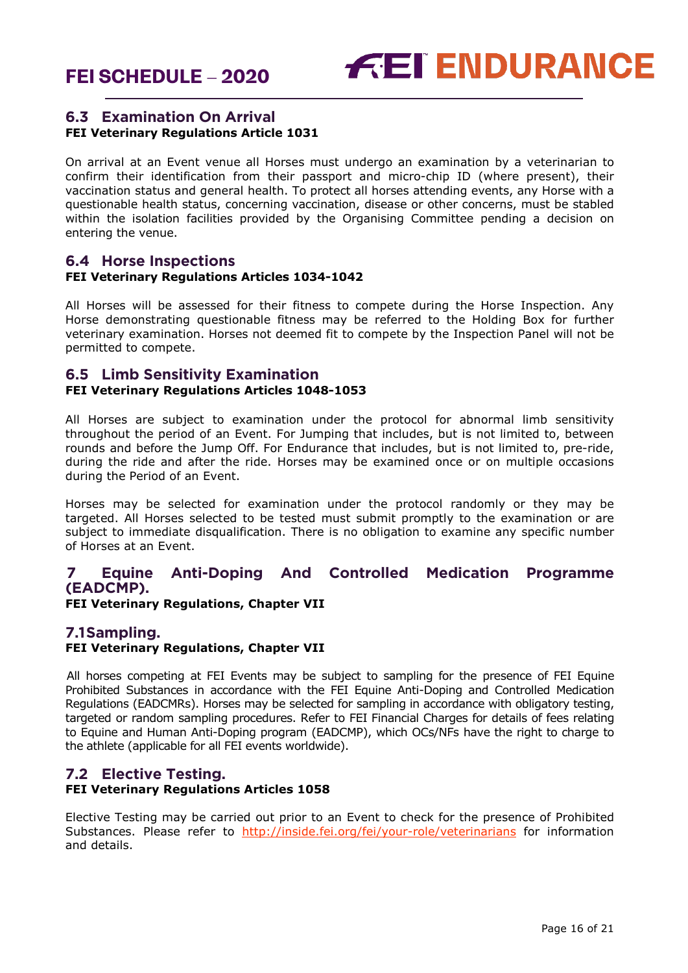

## **6.3 Examination On Arrival FEI Veterinary Regulations Article 1031**

On arrival at an Event venue all Horses must undergo an examination by a veterinarian to confirm their identification from their passport and micro-chip ID (where present), their vaccination status and general health. To protect all horses attending events, any Horse with a questionable health status, concerning vaccination, disease or other concerns, must be stabled within the isolation facilities provided by the Organising Committee pending a decision on entering the venue.

## **6.4 Horse Inspections FEI Veterinary Regulations Articles 1034-1042**

All Horses will be assessed for their fitness to compete during the Horse Inspection. Any Horse demonstrating questionable fitness may be referred to the Holding Box for further veterinary examination. Horses not deemed fit to compete by the Inspection Panel will not be permitted to compete.

## **6.5 Limb Sensitivity Examination FEI Veterinary Regulations Articles 1048-1053**

All Horses are subject to examination under the protocol for abnormal limb sensitivity throughout the period of an Event. For Jumping that includes, but is not limited to, between rounds and before the Jump Off. For Endurance that includes, but is not limited to, pre-ride, during the ride and after the ride. Horses may be examined once or on multiple occasions during the Period of an Event.

Horses may be selected for examination under the protocol randomly or they may be targeted. All Horses selected to be tested must submit promptly to the examination or are subject to immediate disqualification. There is no obligation to examine any specific number of Horses at an Event.

# <span id="page-15-0"></span>**7 Equine Anti-Doping And Controlled Medication Programme (EADCMP).**

**FEI Veterinary Regulations, Chapter VII**

# **7.1Sampling.**

## **FEI Veterinary Regulations, Chapter VII**

All horses competing at FEI Events may be subject to sampling for the presence of FEI Equine Prohibited Substances in accordance with the FEI Equine Anti-Doping and Controlled Medication Regulations (EADCMRs). Horses may be selected for sampling in accordance with obligatory testing, targeted or random sampling procedures. Refer to FEI Financial Charges for details of fees relating to Equine and Human Anti-Doping program (EADCMP), which OCs/NFs have the right to charge to the athlete (applicable for all FEI events worldwide).

## **7.2 Elective Testing. FEI Veterinary Regulations Articles 1058**

Elective Testing may be carried out prior to an Event to check for the presence of Prohibited Substances. Please refer to <http://inside.fei.org/fei/your-role/veterinarians> for information and details.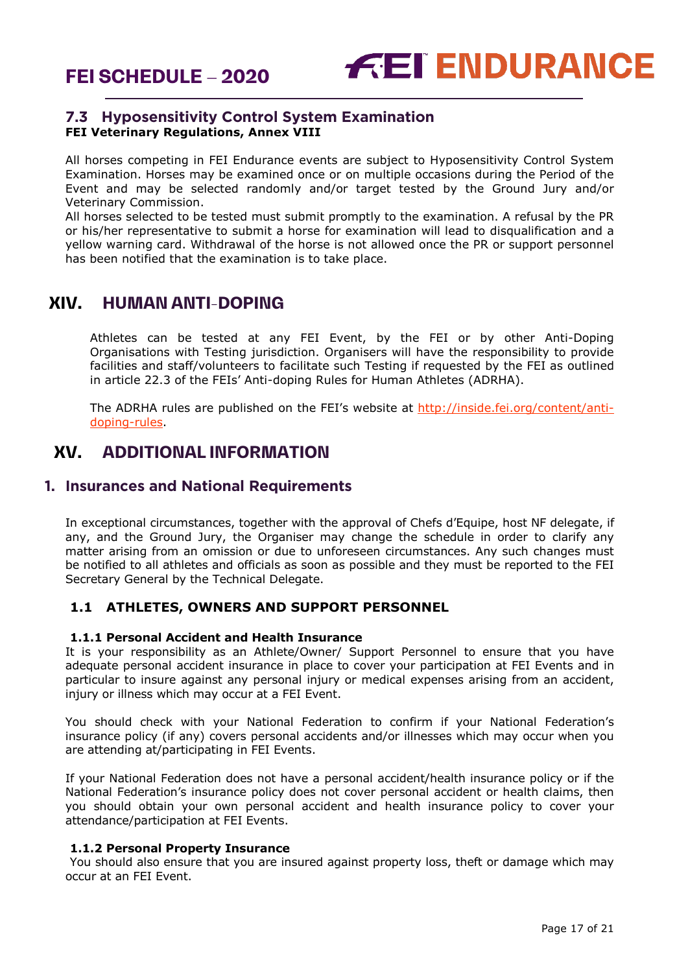

# **7.3 Hyposensitivity Control System Examination FEI Veterinary Regulations, Annex VIII**

All horses competing in FEI Endurance events are subject to Hyposensitivity Control System Examination. Horses may be examined once or on multiple occasions during the Period of the Event and may be selected randomly and/or target tested by the Ground Jury and/or Veterinary Commission.

All horses selected to be tested must submit promptly to the examination. A refusal by the PR or his/her representative to submit a horse for examination will lead to disqualification and a yellow warning card. Withdrawal of the horse is not allowed once the PR or support personnel has been notified that the examination is to take place.

# <span id="page-16-0"></span>**XIV. HUMAN ANTI-DOPING**

Athletes can be tested at any FEI Event, by the FEI or by other Anti-Doping Organisations with Testing jurisdiction. Organisers will have the responsibility to provide facilities and staff/volunteers to facilitate such Testing if requested by the FEI as outlined in article 22.3 of the FEIs' Anti-doping Rules for Human Athletes (ADRHA).

The ADRHA rules are published on the FEI's website at [http://inside.fei.org/content/anti](http://inside.fei.org/content/anti-doping-rules)[doping-rules.](http://inside.fei.org/content/anti-doping-rules)

# <span id="page-16-1"></span>**XV. ADDITIONAL INFORMATION**

# <span id="page-16-2"></span>**1. Insurances and National Requirements**

In exceptional circumstances, together with the approval of Chefs d'Equipe, host NF delegate, if any, and the Ground Jury, the Organiser may change the schedule in order to clarify any matter arising from an omission or due to unforeseen circumstances. Any such changes must be notified to all athletes and officials as soon as possible and they must be reported to the FEI Secretary General by the Technical Delegate.

# **1.1 ATHLETES, OWNERS AND SUPPORT PERSONNEL**

## **1.1.1 Personal Accident and Health Insurance**

It is your responsibility as an Athlete/Owner/ Support Personnel to ensure that you have adequate personal accident insurance in place to cover your participation at FEI Events and in particular to insure against any personal injury or medical expenses arising from an accident, injury or illness which may occur at a FEI Event.

You should check with your National Federation to confirm if your National Federation's insurance policy (if any) covers personal accidents and/or illnesses which may occur when you are attending at/participating in FEI Events.

If your National Federation does not have a personal accident/health insurance policy or if the National Federation's insurance policy does not cover personal accident or health claims, then you should obtain your own personal accident and health insurance policy to cover your attendance/participation at FEI Events.

### **1.1.2 Personal Property Insurance**

You should also ensure that you are insured against property loss, theft or damage which may occur at an FEI Event.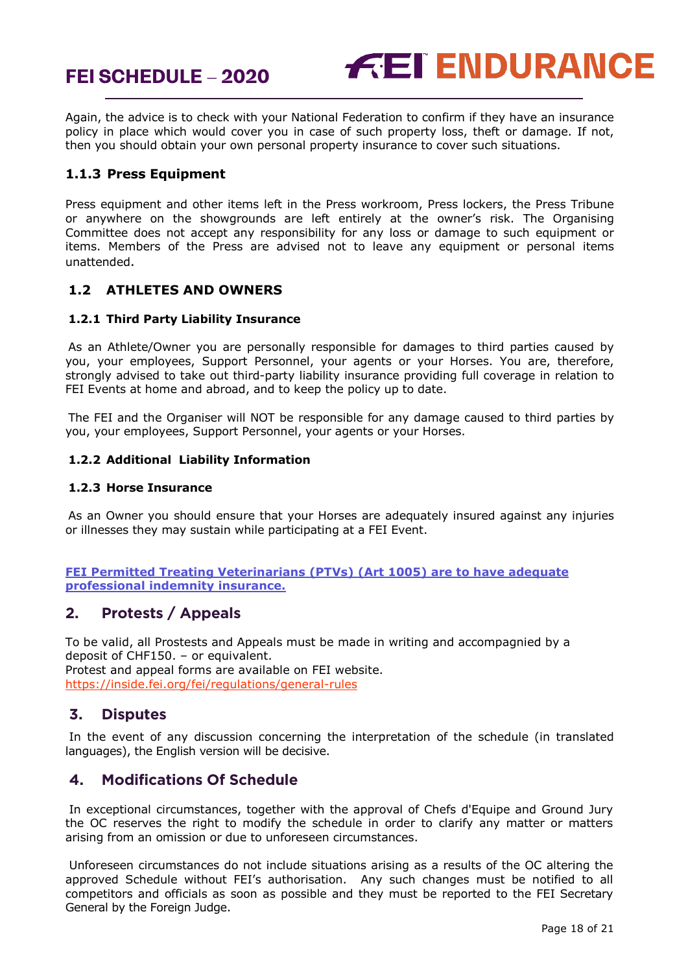



Again, the advice is to check with your National Federation to confirm if they have an insurance policy in place which would cover you in case of such property loss, theft or damage. If not, then you should obtain your own personal property insurance to cover such situations.

## **1.1.3 Press Equipment**

Press equipment and other items left in the Press workroom, Press lockers, the Press Tribune or anywhere on the showgrounds are left entirely at the owner's risk. The Organising Committee does not accept any responsibility for any loss or damage to such equipment or items. Members of the Press are advised not to leave any equipment or personal items unattended.

## **1.2 ATHLETES AND OWNERS**

## **1.2.1 Third Party Liability Insurance**

As an Athlete/Owner you are personally responsible for damages to third parties caused by you, your employees, Support Personnel, your agents or your Horses. You are, therefore, strongly advised to take out third-party liability insurance providing full coverage in relation to FEI Events at home and abroad, and to keep the policy up to date.

The FEI and the Organiser will NOT be responsible for any damage caused to third parties by you, your employees, Support Personnel, your agents or your Horses.

### **1.2.2 Additional Liability Information**

### **1.2.3 Horse Insurance**

As an Owner you should ensure that your Horses are adequately insured against any injuries or illnesses they may sustain while participating at a FEI Event.

### **FEI Permitted Treating Veterinarians (PTVs) (Art 1005) are to have adequate professional indemnity insurance.**

# <span id="page-17-0"></span>**2. Protests / Appeals**

To be valid, all Prostests and Appeals must be made in writing and accompagnied by a deposit of CHF150. – or equivalent. Protest and appeal forms are available on FEI website. <https://inside.fei.org/fei/regulations/general-rules>

# <span id="page-17-1"></span>**3. Disputes**

In the event of any discussion concerning the interpretation of the schedule (in translated languages), the English version will be decisive.

# <span id="page-17-2"></span>**4. Modifications Of Schedule**

In exceptional circumstances, together with the approval of Chefs d'Equipe and Ground Jury the OC reserves the right to modify the schedule in order to clarify any matter or matters arising from an omission or due to unforeseen circumstances.

Unforeseen circumstances do not include situations arising as a results of the OC altering the approved Schedule without FEI's authorisation. Any such changes must be notified to all competitors and officials as soon as possible and they must be reported to the FEI Secretary General by the Foreign Judge.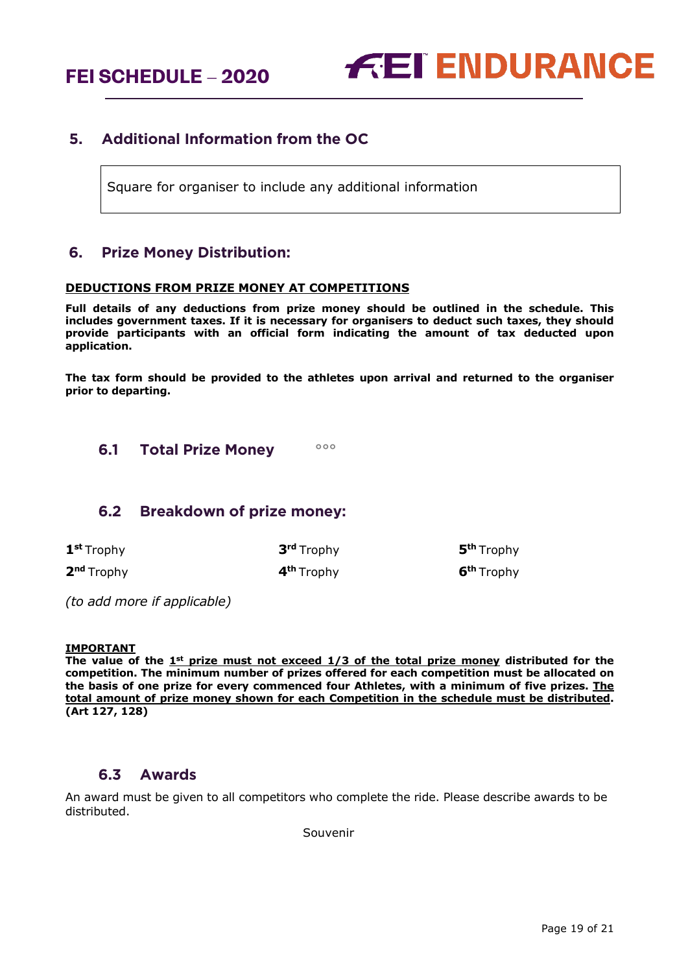**FEI SCHEDULE – 2020**



# <span id="page-18-0"></span>**5. Additional Information from the OC**

Square for organiser to include any additional information

# <span id="page-18-1"></span>**6. Prize Money Distribution:**

#### **DEDUCTIONS FROM PRIZE MONEY AT COMPETITIONS**

**Full details of any deductions from prize money should be outlined in the schedule. This includes government taxes. If it is necessary for organisers to deduct such taxes, they should provide participants with an official form indicating the amount of tax deducted upon application.** 

**The tax form should be provided to the athletes upon arrival and returned to the organiser prior to departing.**

<span id="page-18-2"></span>**6.1 Total Prize Money °°°**

## <span id="page-18-3"></span>**6.2 Breakdown of prize money:**

| 1 <sup>st</sup> Trophy | 3 <sup>rd</sup> Trophy | 5 <sup>th</sup> Trophy |
|------------------------|------------------------|------------------------|
| 2 <sup>nd</sup> Trophy | 4 <sup>th</sup> Trophy | 6 <sup>th</sup> Trophy |

*(to add more if applicable)*

#### **IMPORTANT**

The value of the 1<sup>st</sup> prize must not exceed 1/3 of the total prize money distributed for the **competition. The minimum number of prizes offered for each competition must be allocated on the basis of one prize for every commenced four Athletes, with a minimum of five prizes. The total amount of prize money shown for each Competition in the schedule must be distributed. (Art 127, 128)**

## **6.3 Awards**

<span id="page-18-4"></span>An award must be given to all competitors who complete the ride. Please describe awards to be distributed.

Souvenir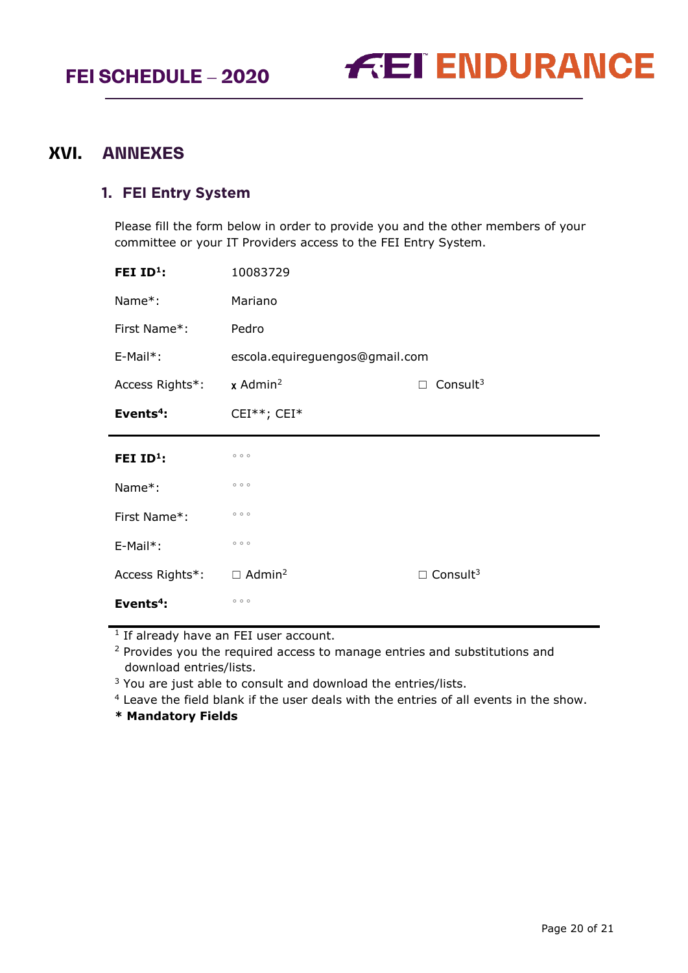

# <span id="page-19-0"></span>**XVI. ANNEXES**

# <span id="page-19-1"></span>**1. FEI Entry System**

Please fill the form below in order to provide you and the other members of your committee or your IT Providers access to the FEI Entry System.

| FEI $ID1$ :     | 10083729                       |                             |  |
|-----------------|--------------------------------|-----------------------------|--|
| Name*:          | Mariano                        |                             |  |
| First Name*:    | Pedro                          |                             |  |
| $E-Mail*$ :     | escola.equireguengos@gmail.com |                             |  |
| Access Rights*: | $x$ Admin <sup>2</sup>         | Consult $3$<br>П            |  |
| Events $4$ :    | CEI**; CEI*                    |                             |  |
|                 |                                |                             |  |
| FEI $ID^1$ :    | 000                            |                             |  |
| Name*:          | 000                            |                             |  |
| First Name*:    | 000                            |                             |  |
| $E-Mail^*$ :    | 000                            |                             |  |
| Access Rights*: | $\Box$ Admin <sup>2</sup>      | $\Box$ Consult <sup>3</sup> |  |

 $1$  If already have an FEI user account.

<sup>2</sup> Provides you the required access to manage entries and substitutions and download entries/lists.

<sup>3</sup> You are just able to consult and download the entries/lists.

<sup>4</sup> Leave the field blank if the user deals with the entries of all events in the show.

**\* Mandatory Fields**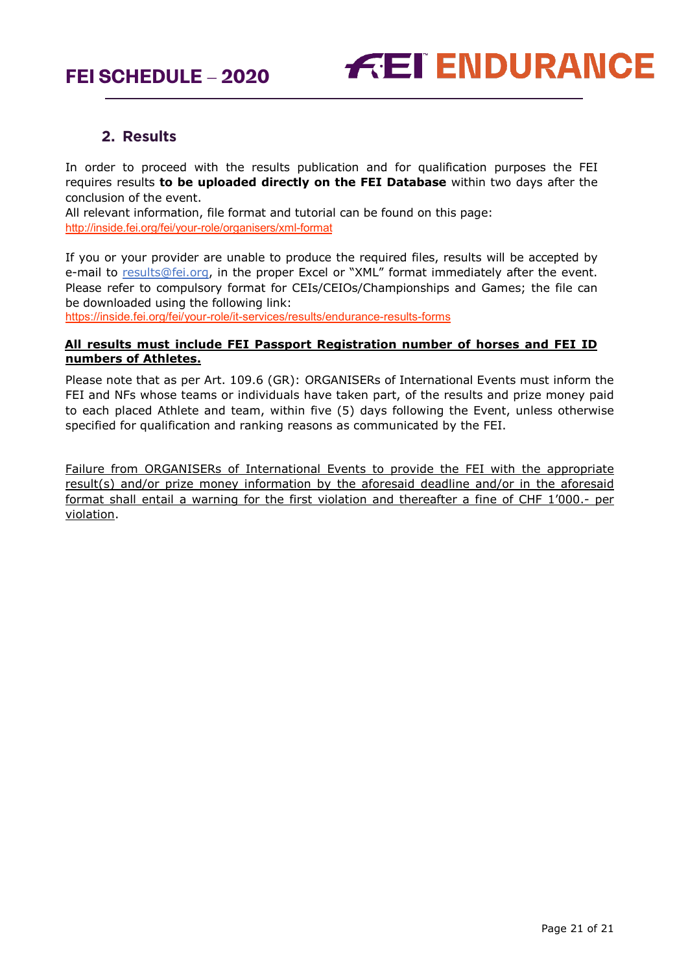

# **2. Results**

<span id="page-20-0"></span>In order to proceed with the results publication and for qualification purposes the FEI requires results **to be uploaded directly on the FEI Database** within two days after the conclusion of the event.

All relevant information, file format and tutorial can be found on this page: <http://inside.fei.org/fei/your-role/organisers/xml-format>

If you or your provider are unable to produce the required files, results will be accepted by e-mail to [results@fei.org,](mailto:results@fei.org) in the proper Excel or "XML" format immediately after the event. Please refer to compulsory format for CEIs/CEIOs/Championships and Games; the file can be downloaded using the following link:

https://inside.fei.org/fei/your-role/it-services/results/endurance-results-forms

## **All results must include FEI Passport Registration number of horses and FEI ID numbers of Athletes.**

Please note that as per Art. 109.6 (GR): ORGANISERs of International Events must inform the FEI and NFs whose teams or individuals have taken part, of the results and prize money paid to each placed Athlete and team, within five (5) days following the Event, unless otherwise specified for qualification and ranking reasons as communicated by the FEI.

Failure from ORGANISERs of International Events to provide the FEI with the appropriate result(s) and/or prize money information by the aforesaid deadline and/or in the aforesaid format shall entail a warning for the first violation and thereafter a fine of CHF 1'000.- per violation.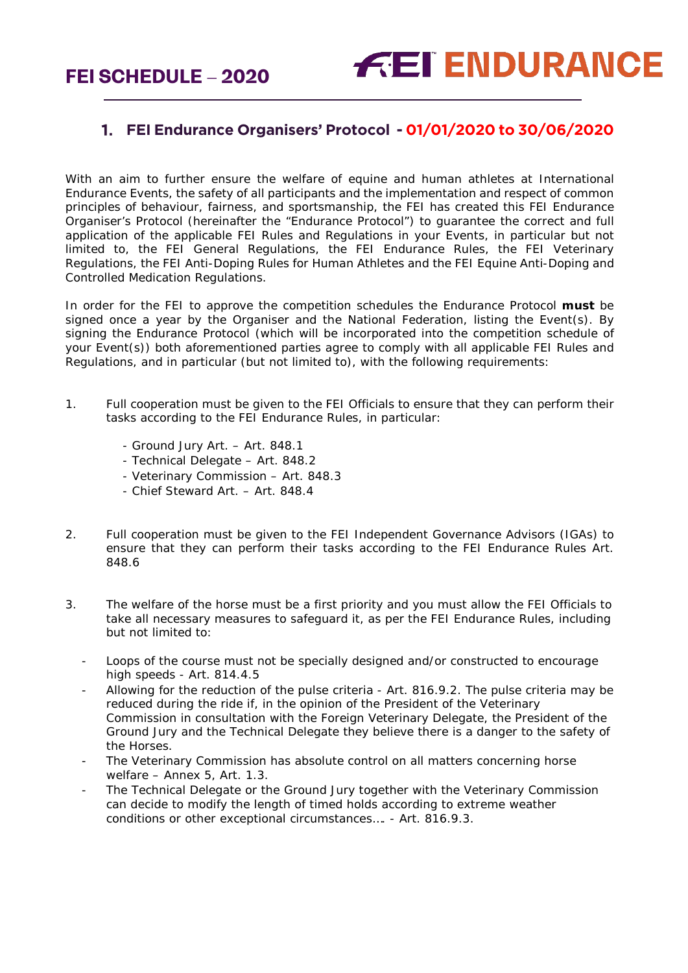# **FEI Endurance Organisers' Protocol - 01/01/2020 to 30/06/2020**

With an aim to further ensure the welfare of equine and human athletes at International Endurance Events, the safety of all participants and the implementation and respect of common principles of behaviour, fairness, and sportsmanship, the FEI has created this FEI Endurance Organiser's Protocol (hereinafter the "Endurance Protocol") to guarantee the correct and full application of the applicable FEI Rules and Regulations in your Events, in particular but not limited to, the FEI General Regulations, the FEI Endurance Rules, the FEI Veterinary Regulations, the FEI Anti-Doping Rules for Human Athletes and the FEI Equine Anti-Doping and Controlled Medication Regulations.

In order for the FEI to approve the competition schedules the Endurance Protocol **must** be signed once a year by the Organiser and the National Federation, listing the Event(s). By signing the Endurance Protocol (which will be incorporated into the competition schedule of your Event(s)) both aforementioned parties agree to comply with all applicable FEI Rules and Regulations, and in particular (but not limited to), with the following requirements:

- 1. Full cooperation must be given to the FEI Officials to ensure that they can perform their tasks according to the FEI Endurance Rules, in particular:
	- Ground Jury Art. Art. 848.1
	- Technical Delegate Art. 848.2
	- Veterinary Commission Art. 848.3
	- Chief Steward Art. Art. 848.4
- 2. Full cooperation must be given to the FEI Independent Governance Advisors (IGAs) to ensure that they can perform their tasks according to the FEI Endurance Rules Art. 848.6
- 3. The welfare of the horse must be a first priority and you must allow the FEI Officials to take all necessary measures to safeguard it, as per the FEI Endurance Rules, including but not limited to:
	- Loops of the course must not be specially designed and/or constructed to encourage high speeds - Art. 814.4.5
	- Allowing for the reduction of the pulse criteria Art. 816.9.2. The pulse criteria may be reduced during the ride if, in the opinion of the President of the Veterinary Commission in consultation with the Foreign Veterinary Delegate, the President of the Ground Jury and the Technical Delegate they believe there is a danger to the safety of the Horses.
	- The Veterinary Commission has absolute control on all matters concerning horse welfare – Annex 5, Art. 1.3.
	- The Technical Delegate or the Ground Jury together with the Veterinary Commission can decide to modify the length of timed holds according to extreme weather conditions or other exceptional circumstances…. - Art. 816.9.3.